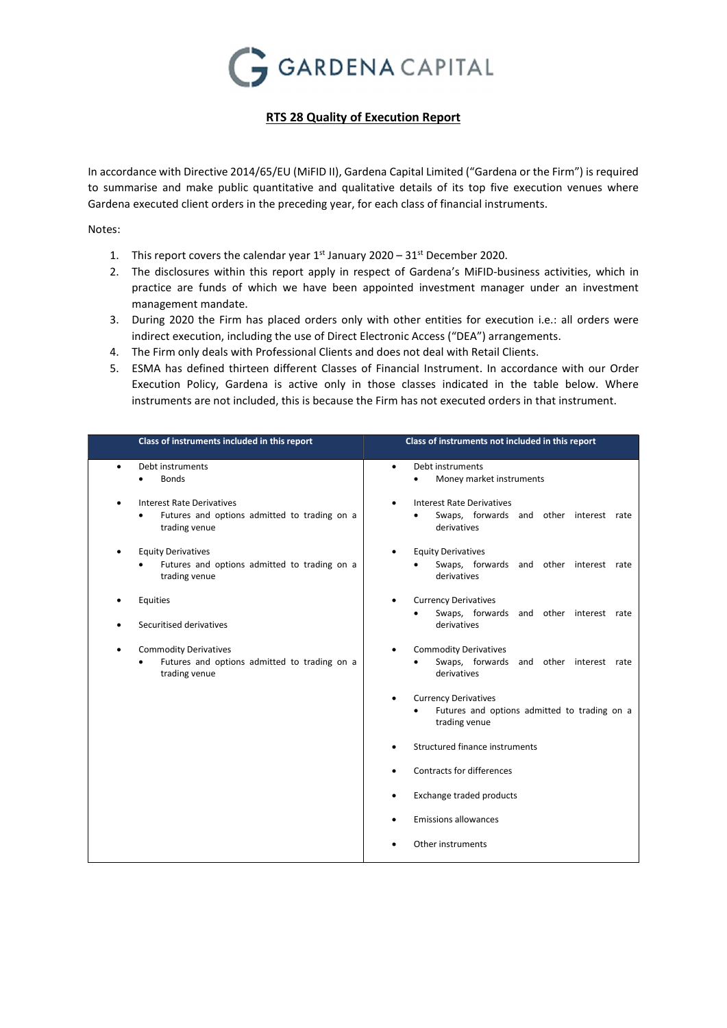

## RTS 28 Quality of Execution Report

In accordance with Directive 2014/65/EU (MiFID II), Gardena Capital Limited ("Gardena or the Firm") is required to summarise and make public quantitative and qualitative details of its top five execution venues where Gardena executed client orders in the preceding year, for each class of financial instruments.

Notes:

- 1. This report covers the calendar year  $1^{st}$  January 2020 31 $^{st}$  December 2020.
- 2. The disclosures within this report apply in respect of Gardena's MiFID-business activities, which in practice are funds of which we have been appointed investment manager under an investment management mandate.
- 3. During 2020 the Firm has placed orders only with other entities for execution i.e.: all orders were indirect execution, including the use of Direct Electronic Access ("DEA") arrangements.
- 4. The Firm only deals with Professional Clients and does not deal with Retail Clients.
- 5. ESMA has defined thirteen different Classes of Financial Instrument. In accordance with our Order Execution Policy, Gardena is active only in those classes indicated in the table below. Where instruments are not included, this is because the Firm has not executed orders in that instrument.

| Class of instruments included in this report                                                                        | Class of instruments not included in this report                                             |
|---------------------------------------------------------------------------------------------------------------------|----------------------------------------------------------------------------------------------|
| Debt instruments<br>$\bullet$<br><b>Bonds</b>                                                                       | Debt instruments<br>٠<br>Money market instruments<br>$\bullet$                               |
| <b>Interest Rate Derivatives</b><br>$\bullet$<br>Futures and options admitted to trading on a<br>٠<br>trading venue | <b>Interest Rate Derivatives</b><br>Swaps, forwards and other interest rate<br>derivatives   |
| <b>Equity Derivatives</b><br>$\bullet$<br>Futures and options admitted to trading on a<br>trading venue             | <b>Equity Derivatives</b><br>Swaps, forwards and other interest rate<br>derivatives          |
| Equities<br>$\bullet$<br>Securitised derivatives                                                                    | <b>Currency Derivatives</b><br>Swaps, forwards and other interest rate<br>derivatives        |
| <b>Commodity Derivatives</b><br>$\bullet$<br>Futures and options admitted to trading on a<br>trading venue          | <b>Commodity Derivatives</b><br>Swaps, forwards and other interest rate<br>derivatives       |
|                                                                                                                     | <b>Currency Derivatives</b><br>Futures and options admitted to trading on a<br>trading venue |
|                                                                                                                     | Structured finance instruments                                                               |
|                                                                                                                     | Contracts for differences                                                                    |
|                                                                                                                     | Exchange traded products                                                                     |
|                                                                                                                     | <b>Emissions allowances</b>                                                                  |
|                                                                                                                     | Other instruments                                                                            |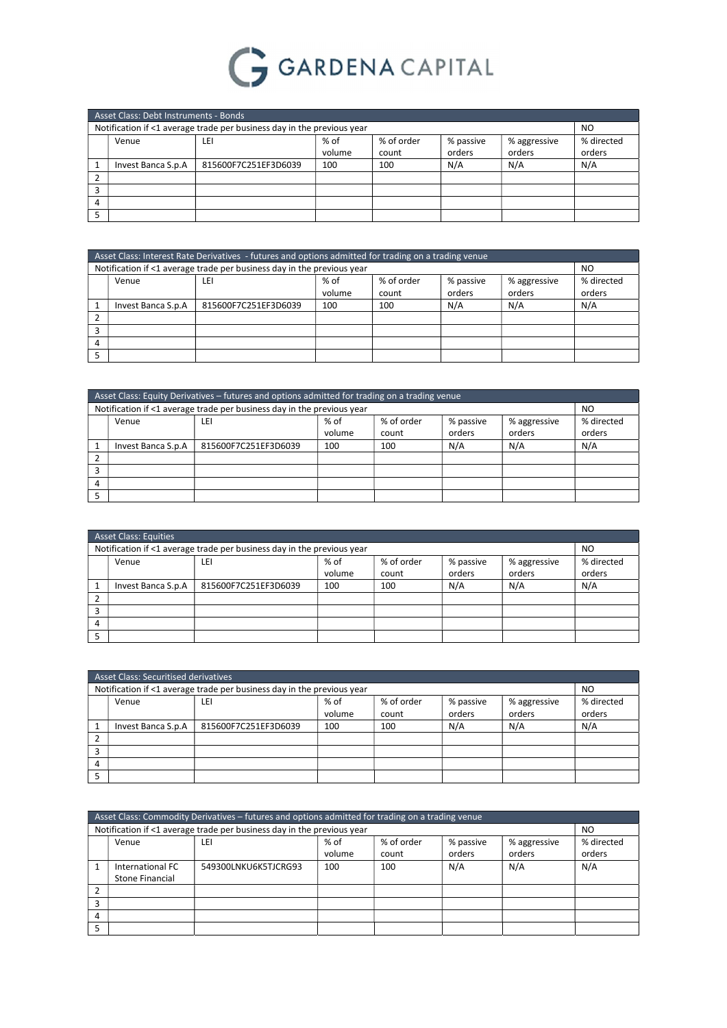

| Asset Class: Debt Instruments - Bonds                           |                                                                        |        |       |        |        |            |
|-----------------------------------------------------------------|------------------------------------------------------------------------|--------|-------|--------|--------|------------|
|                                                                 | Notification if <1 average trade per business day in the previous year |        |       |        |        | NO         |
| % of order<br>% of<br>% passive<br>% aggressive<br>Venue<br>LEI |                                                                        |        |       |        |        | % directed |
|                                                                 |                                                                        | volume | count | orders | orders | orders     |
| Invest Banca S.p.A                                              | 815600F7C251EF3D6039                                                   | 100    | 100   | N/A    | N/A    | N/A        |
|                                                                 |                                                                        |        |       |        |        |            |
|                                                                 |                                                                        |        |       |        |        |            |
|                                                                 |                                                                        |        |       |        |        |            |
|                                                                 |                                                                        |        |       |        |        |            |

|   | Asset Class: Interest Rate Derivatives - futures and options admitted for trading on a trading venue |                                                                        |        |       |        |        |        |
|---|------------------------------------------------------------------------------------------------------|------------------------------------------------------------------------|--------|-------|--------|--------|--------|
|   |                                                                                                      | Notification if <1 average trade per business day in the previous year |        |       |        |        | NO     |
|   | % of order<br>% directed<br>% of<br>% passive<br>% aggressive<br>Venue<br>LEI                        |                                                                        |        |       |        |        |        |
|   |                                                                                                      |                                                                        | volume | count | orders | orders | orders |
|   | Invest Banca S.p.A                                                                                   | 815600F7C251EF3D6039                                                   | 100    | 100   | N/A    | N/A    | N/A    |
|   |                                                                                                      |                                                                        |        |       |        |        |        |
| 3 |                                                                                                      |                                                                        |        |       |        |        |        |
| 4 |                                                                                                      |                                                                        |        |       |        |        |        |
|   |                                                                                                      |                                                                        |        |       |        |        |        |

|   | Asset Class: Equity Derivatives – futures and options admitted for trading on a trading venue |                                                                        |        |       |        |        |            |
|---|-----------------------------------------------------------------------------------------------|------------------------------------------------------------------------|--------|-------|--------|--------|------------|
|   |                                                                                               | Notification if <1 average trade per business day in the previous year |        |       |        |        | NO         |
|   | % of order<br>% of<br>% aggressive<br>% passive<br>Venue<br>ιEΙ                               |                                                                        |        |       |        |        | % directed |
|   |                                                                                               |                                                                        | volume | count | orders | orders | orders     |
|   | Invest Banca S.p.A                                                                            | 815600F7C251EF3D6039                                                   | 100    | 100   | N/A    | N/A    | N/A        |
|   |                                                                                               |                                                                        |        |       |        |        |            |
|   |                                                                                               |                                                                        |        |       |        |        |            |
| 4 |                                                                                               |                                                                        |        |       |        |        |            |
|   |                                                                                               |                                                                        |        |       |        |        |            |

|   | <b>Asset Class: Equities</b>                                                                           |                                                                        |     |     |     |     |                      |
|---|--------------------------------------------------------------------------------------------------------|------------------------------------------------------------------------|-----|-----|-----|-----|----------------------|
|   |                                                                                                        | Notification if <1 average trade per business day in the previous year |     |     |     |     | N <sub>O</sub>       |
|   | % of<br>% of order<br>% passive<br>% aggressive<br>Venue<br>LEI<br>orders<br>orders<br>volume<br>count |                                                                        |     |     |     |     | % directed<br>orders |
|   | Invest Banca S.p.A                                                                                     | 815600F7C251EF3D6039                                                   | 100 | 100 | N/A | N/A | N/A                  |
|   |                                                                                                        |                                                                        |     |     |     |     |                      |
| 3 |                                                                                                        |                                                                        |     |     |     |     |                      |
| 4 |                                                                                                        |                                                                        |     |     |     |     |                      |
|   |                                                                                                        |                                                                        |     |     |     |     |                      |

|   | Asset Class: Securitised derivatives                              |                                                                        |        |       |        |        |        |
|---|-------------------------------------------------------------------|------------------------------------------------------------------------|--------|-------|--------|--------|--------|
|   |                                                                   | Notification if <1 average trade per business day in the previous year |        |       |        |        | NO     |
|   | % of order<br>$%$ of<br>% passive<br>% aggressive<br>Venue<br>LEI |                                                                        |        |       |        |        |        |
|   |                                                                   |                                                                        | volume | count | orders | orders | orders |
|   | Invest Banca S.p.A                                                | 815600F7C251EF3D6039                                                   | 100    | 100   | N/A    | N/A    | N/A    |
|   |                                                                   |                                                                        |        |       |        |        |        |
|   |                                                                   |                                                                        |        |       |        |        |        |
| 4 |                                                                   |                                                                        |        |       |        |        |        |
|   |                                                                   |                                                                        |        |       |        |        |        |

| Asset Class: Commodity Derivatives – futures and options admitted for trading on a trading venue |                                                                        |        |       |        |        |            |
|--------------------------------------------------------------------------------------------------|------------------------------------------------------------------------|--------|-------|--------|--------|------------|
|                                                                                                  | Notification if <1 average trade per business day in the previous year |        |       |        |        | NO.        |
| % of order<br>$%$ of<br>% passive<br>% aggressive<br>LEI<br>Venue                                |                                                                        |        |       |        |        | % directed |
|                                                                                                  |                                                                        | volume | count | orders | orders | orders     |
| International FC                                                                                 | 549300LNKU6K5TJCRG93                                                   | 100    | 100   | N/A    | N/A    | N/A        |
| Stone Financial                                                                                  |                                                                        |        |       |        |        |            |
|                                                                                                  |                                                                        |        |       |        |        |            |
|                                                                                                  |                                                                        |        |       |        |        |            |
|                                                                                                  |                                                                        |        |       |        |        |            |
|                                                                                                  |                                                                        |        |       |        |        |            |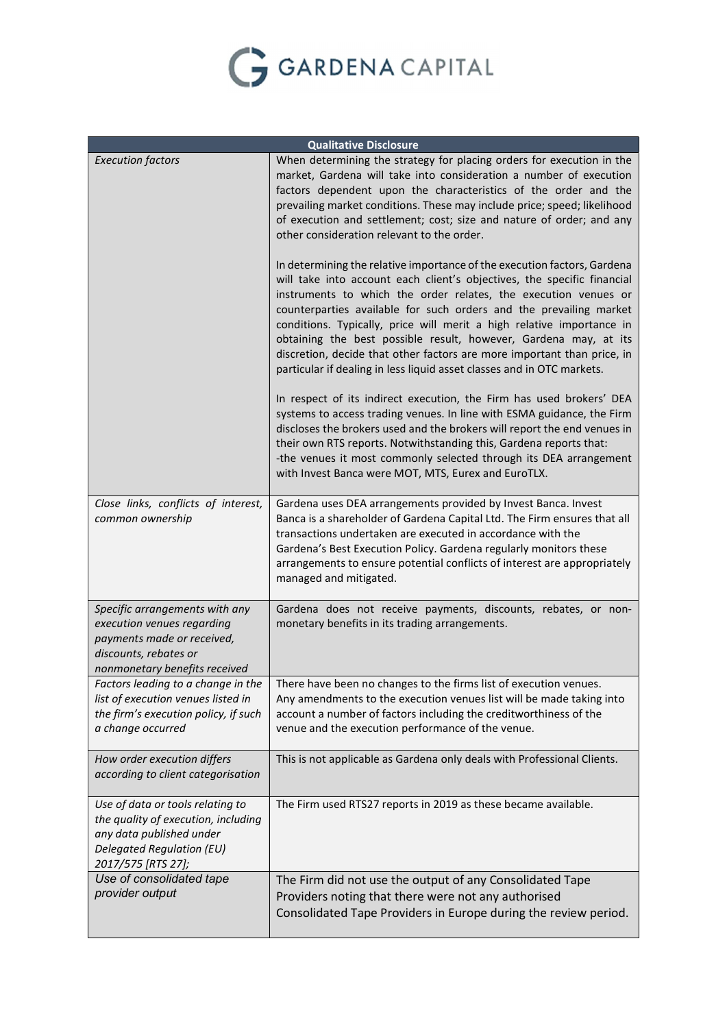

| <b>Qualitative Disclosure</b>                                                                                                                          |                                                                                                                                                                                                                                                                                                                                                                                                                                                                                                                                                                                                |  |  |  |  |
|--------------------------------------------------------------------------------------------------------------------------------------------------------|------------------------------------------------------------------------------------------------------------------------------------------------------------------------------------------------------------------------------------------------------------------------------------------------------------------------------------------------------------------------------------------------------------------------------------------------------------------------------------------------------------------------------------------------------------------------------------------------|--|--|--|--|
| <b>Execution factors</b>                                                                                                                               | When determining the strategy for placing orders for execution in the<br>market, Gardena will take into consideration a number of execution<br>factors dependent upon the characteristics of the order and the<br>prevailing market conditions. These may include price; speed; likelihood<br>of execution and settlement; cost; size and nature of order; and any<br>other consideration relevant to the order.                                                                                                                                                                               |  |  |  |  |
|                                                                                                                                                        | In determining the relative importance of the execution factors, Gardena<br>will take into account each client's objectives, the specific financial<br>instruments to which the order relates, the execution venues or<br>counterparties available for such orders and the prevailing market<br>conditions. Typically, price will merit a high relative importance in<br>obtaining the best possible result, however, Gardena may, at its<br>discretion, decide that other factors are more important than price, in<br>particular if dealing in less liquid asset classes and in OTC markets. |  |  |  |  |
|                                                                                                                                                        | In respect of its indirect execution, the Firm has used brokers' DEA<br>systems to access trading venues. In line with ESMA guidance, the Firm<br>discloses the brokers used and the brokers will report the end venues in<br>their own RTS reports. Notwithstanding this, Gardena reports that:<br>-the venues it most commonly selected through its DEA arrangement<br>with Invest Banca were MOT, MTS, Eurex and EuroTLX.                                                                                                                                                                   |  |  |  |  |
| Close links, conflicts of interest,<br>common ownership                                                                                                | Gardena uses DEA arrangements provided by Invest Banca. Invest<br>Banca is a shareholder of Gardena Capital Ltd. The Firm ensures that all<br>transactions undertaken are executed in accordance with the<br>Gardena's Best Execution Policy. Gardena regularly monitors these<br>arrangements to ensure potential conflicts of interest are appropriately<br>managed and mitigated.                                                                                                                                                                                                           |  |  |  |  |
| Specific arrangements with any<br>execution venues regarding<br>payments made or received,<br>discounts, rebates or<br>nonmonetary benefits received   | Gardena does not receive payments, discounts, rebates, or non-<br>monetary benefits in its trading arrangements.                                                                                                                                                                                                                                                                                                                                                                                                                                                                               |  |  |  |  |
| Factors leading to a change in the<br>list of execution venues listed in<br>the firm's execution policy, if such<br>a change occurred                  | There have been no changes to the firms list of execution venues.<br>Any amendments to the execution venues list will be made taking into<br>account a number of factors including the creditworthiness of the<br>venue and the execution performance of the venue.                                                                                                                                                                                                                                                                                                                            |  |  |  |  |
| How order execution differs<br>according to client categorisation                                                                                      | This is not applicable as Gardena only deals with Professional Clients.                                                                                                                                                                                                                                                                                                                                                                                                                                                                                                                        |  |  |  |  |
| Use of data or tools relating to<br>the quality of execution, including<br>any data published under<br>Delegated Regulation (EU)<br>2017/575 [RTS 27]; | The Firm used RTS27 reports in 2019 as these became available.                                                                                                                                                                                                                                                                                                                                                                                                                                                                                                                                 |  |  |  |  |
| Use of consolidated tape<br>provider output                                                                                                            | The Firm did not use the output of any Consolidated Tape<br>Providers noting that there were not any authorised<br>Consolidated Tape Providers in Europe during the review period.                                                                                                                                                                                                                                                                                                                                                                                                             |  |  |  |  |